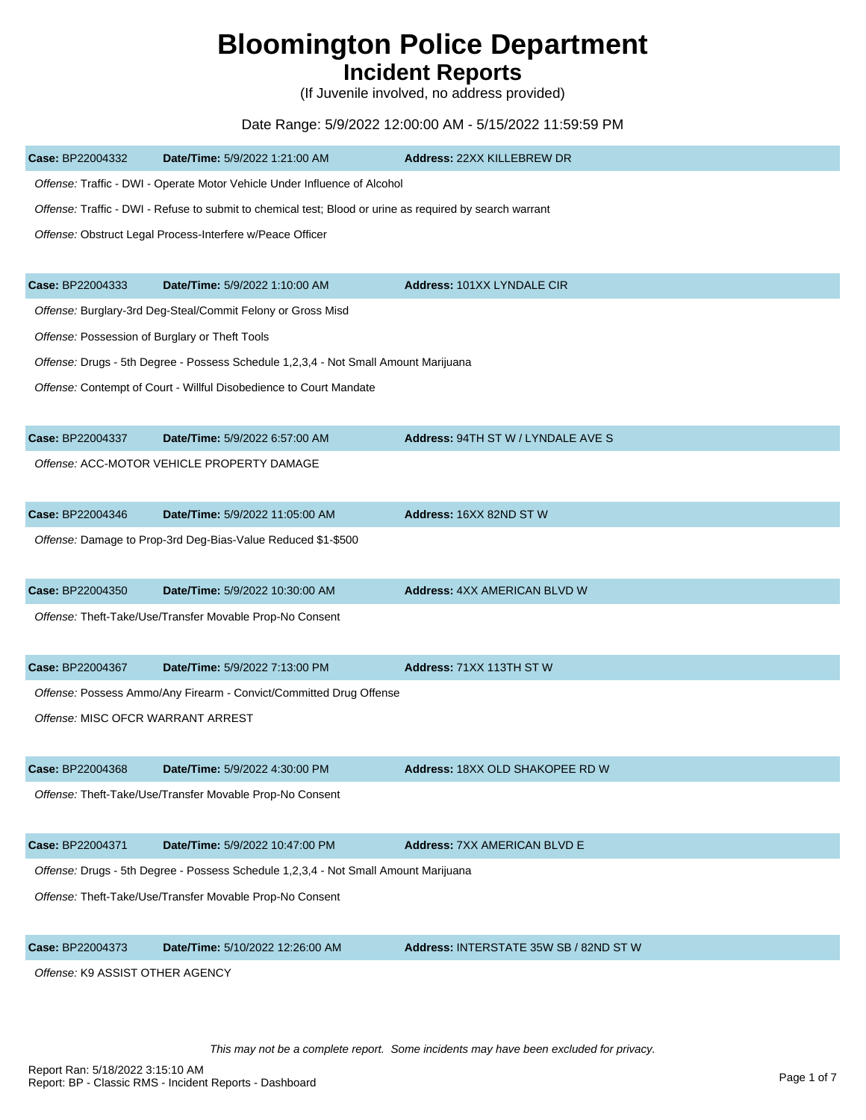## **Bloomington Police Department**

## **Incident Reports**

(If Juvenile involved, no address provided)

## Date Range: 5/9/2022 12:00:00 AM - 5/15/2022 11:59:59 PM

| Case: BP22004332                  | Date/Time: 5/9/2022 1:21:00 AM                                                                           | Address: 22XX KILLEBREW DR             |
|-----------------------------------|----------------------------------------------------------------------------------------------------------|----------------------------------------|
|                                   | Offense: Traffic - DWI - Operate Motor Vehicle Under Influence of Alcohol                                |                                        |
|                                   | Offense: Traffic - DWI - Refuse to submit to chemical test; Blood or urine as required by search warrant |                                        |
|                                   | Offense: Obstruct Legal Process-Interfere w/Peace Officer                                                |                                        |
|                                   |                                                                                                          |                                        |
| Case: BP22004333                  | Date/Time: 5/9/2022 1:10:00 AM                                                                           | Address: 101XX LYNDALE CIR             |
|                                   | Offense: Burglary-3rd Deg-Steal/Commit Felony or Gross Misd                                              |                                        |
|                                   | Offense: Possession of Burglary or Theft Tools                                                           |                                        |
|                                   | Offense: Drugs - 5th Degree - Possess Schedule 1,2,3,4 - Not Small Amount Marijuana                      |                                        |
|                                   | Offense: Contempt of Court - Willful Disobedience to Court Mandate                                       |                                        |
|                                   |                                                                                                          |                                        |
| Case: BP22004337                  | Date/Time: 5/9/2022 6:57:00 AM                                                                           | Address: 94TH ST W / LYNDALE AVE S     |
|                                   | Offense: ACC-MOTOR VEHICLE PROPERTY DAMAGE                                                               |                                        |
|                                   |                                                                                                          |                                        |
| Case: BP22004346                  | Date/Time: 5/9/2022 11:05:00 AM                                                                          | Address: 16XX 82ND ST W                |
|                                   | Offense: Damage to Prop-3rd Deg-Bias-Value Reduced \$1-\$500                                             |                                        |
|                                   |                                                                                                          |                                        |
| Case: BP22004350                  | Date/Time: 5/9/2022 10:30:00 AM                                                                          | <b>Address: 4XX AMERICAN BLVD W</b>    |
|                                   | Offense: Theft-Take/Use/Transfer Movable Prop-No Consent                                                 |                                        |
|                                   |                                                                                                          |                                        |
| Case: BP22004367                  | Date/Time: 5/9/2022 7:13:00 PM                                                                           | Address: 71XX 113TH ST W               |
|                                   | Offense: Possess Ammo/Any Firearm - Convict/Committed Drug Offense                                       |                                        |
| Offense: MISC OFCR WARRANT ARREST |                                                                                                          |                                        |
|                                   |                                                                                                          |                                        |
| Case: BP22004368                  | Date/Time: 5/9/2022 4:30:00 PM                                                                           | Address: 18XX OLD SHAKOPEE RD W        |
|                                   | Offense: Theft-Take/Use/Transfer Movable Prop-No Consent                                                 |                                        |
|                                   |                                                                                                          |                                        |
| Case: BP22004371                  | Date/Time: 5/9/2022 10:47:00 PM                                                                          | <b>Address: 7XX AMERICAN BLVD E</b>    |
|                                   | Offense: Drugs - 5th Degree - Possess Schedule 1,2,3,4 - Not Small Amount Marijuana                      |                                        |
|                                   | Offense: Theft-Take/Use/Transfer Movable Prop-No Consent                                                 |                                        |
|                                   |                                                                                                          |                                        |
| Case: BP22004373                  | Date/Time: 5/10/2022 12:26:00 AM                                                                         | Address: INTERSTATE 35W SB / 82ND ST W |
| Offense: K9 ASSIST OTHER AGENCY   |                                                                                                          |                                        |
|                                   |                                                                                                          |                                        |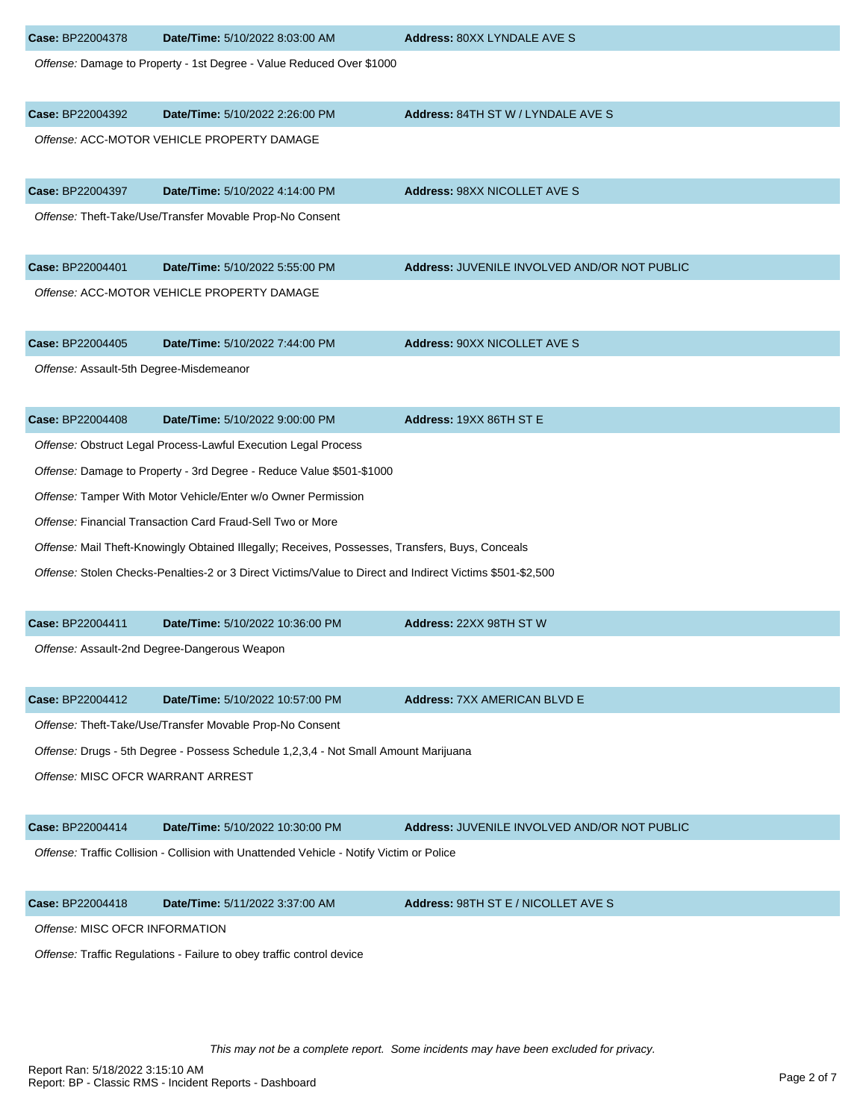| Case: BP22004378                                                      | Date/Time: 5/10/2022 8:03:00 AM                                                                           | Address: 80XX LYNDALE AVE S                  |
|-----------------------------------------------------------------------|-----------------------------------------------------------------------------------------------------------|----------------------------------------------|
|                                                                       | Offense: Damage to Property - 1st Degree - Value Reduced Over \$1000                                      |                                              |
| Case: BP22004392                                                      | Date/Time: 5/10/2022 2:26:00 PM                                                                           | Address: 84TH ST W / LYNDALE AVE S           |
|                                                                       | Offense: ACC-MOTOR VEHICLE PROPERTY DAMAGE                                                                |                                              |
| Case: BP22004397                                                      | Date/Time: 5/10/2022 4:14:00 PM                                                                           | Address: 98XX NICOLLET AVE S                 |
|                                                                       | Offense: Theft-Take/Use/Transfer Movable Prop-No Consent                                                  |                                              |
| Case: BP22004401                                                      | Date/Time: 5/10/2022 5:55:00 PM                                                                           | Address: JUVENILE INVOLVED AND/OR NOT PUBLIC |
|                                                                       | Offense: ACC-MOTOR VEHICLE PROPERTY DAMAGE                                                                |                                              |
| Case: BP22004405                                                      | Date/Time: 5/10/2022 7:44:00 PM                                                                           | <b>Address: 90XX NICOLLET AVE S</b>          |
| Offense: Assault-5th Degree-Misdemeanor                               |                                                                                                           |                                              |
| Case: BP22004408                                                      | Date/Time: 5/10/2022 9:00:00 PM                                                                           | Address: 19XX 86TH ST E                      |
|                                                                       | Offense: Obstruct Legal Process-Lawful Execution Legal Process                                            |                                              |
|                                                                       | Offense: Damage to Property - 3rd Degree - Reduce Value \$501-\$1000                                      |                                              |
|                                                                       | Offense: Tamper With Motor Vehicle/Enter w/o Owner Permission                                             |                                              |
|                                                                       | Offense: Financial Transaction Card Fraud-Sell Two or More                                                |                                              |
|                                                                       | Offense: Mail Theft-Knowingly Obtained Illegally; Receives, Possesses, Transfers, Buys, Conceals          |                                              |
|                                                                       | Offense: Stolen Checks-Penalties-2 or 3 Direct Victims/Value to Direct and Indirect Victims \$501-\$2,500 |                                              |
| Case: BP22004411                                                      | Date/Time: 5/10/2022 10:36:00 PM                                                                          | Address: 22XX 98TH ST W                      |
|                                                                       | Offense: Assault-2nd Degree-Dangerous Weapon                                                              |                                              |
| Case: BP22004412                                                      | Date/Time: 5/10/2022 10:57:00 PM                                                                          | <b>Address: 7XX AMERICAN BLVD E</b>          |
|                                                                       | Offense: Theft-Take/Use/Transfer Movable Prop-No Consent                                                  |                                              |
|                                                                       | Offense: Drugs - 5th Degree - Possess Schedule 1,2,3,4 - Not Small Amount Marijuana                       |                                              |
| Offense: MISC OFCR WARRANT ARREST                                     |                                                                                                           |                                              |
| Case: BP22004414                                                      | Date/Time: 5/10/2022 10:30:00 PM                                                                          | Address: JUVENILE INVOLVED AND/OR NOT PUBLIC |
|                                                                       | Offense: Traffic Collision - Collision with Unattended Vehicle - Notify Victim or Police                  |                                              |
| Case: BP22004418                                                      | Date/Time: 5/11/2022 3:37:00 AM                                                                           | Address: 98TH ST E / NICOLLET AVE S          |
| Offense: MISC OFCR INFORMATION                                        |                                                                                                           |                                              |
| Offense: Traffic Regulations - Failure to obey traffic control device |                                                                                                           |                                              |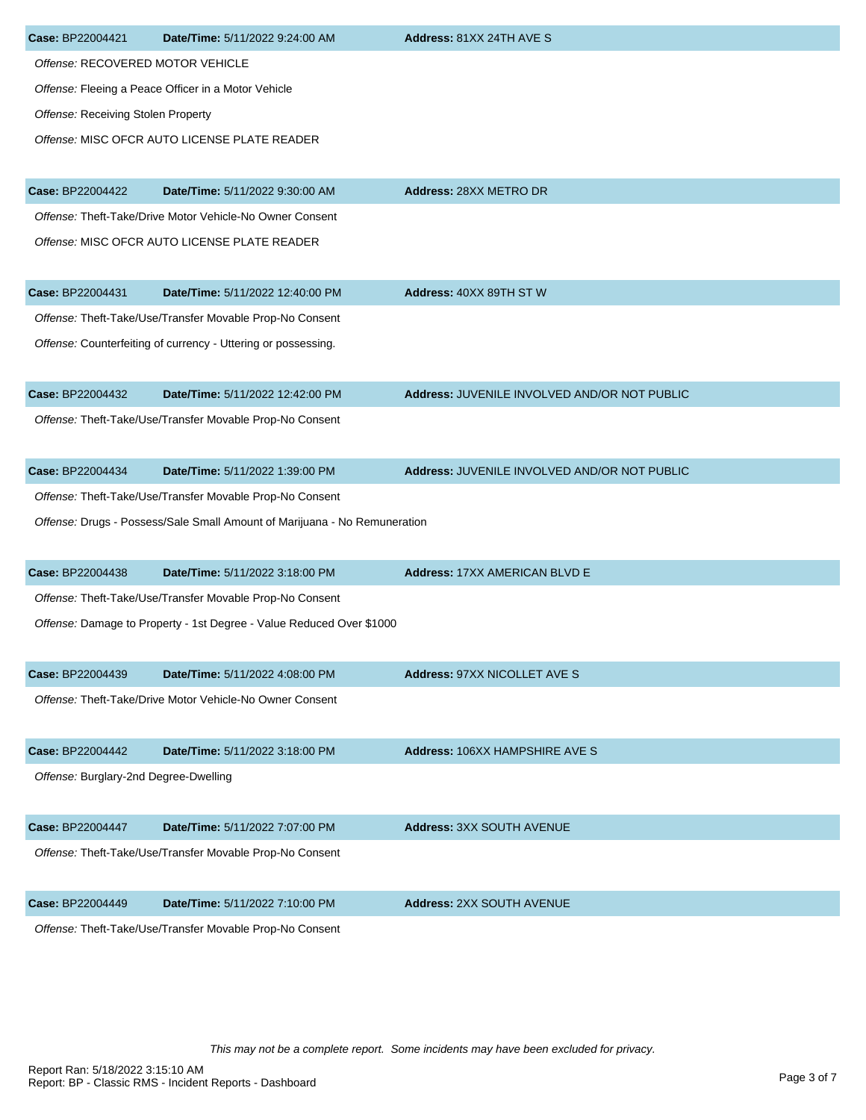| Case: BP22004421                      | Date/Time: 5/11/2022 9:24:00 AM                                           | Address: 81XX 24TH AVE S                     |
|---------------------------------------|---------------------------------------------------------------------------|----------------------------------------------|
| Offense: RECOVERED MOTOR VEHICLE      |                                                                           |                                              |
|                                       | Offense: Fleeing a Peace Officer in a Motor Vehicle                       |                                              |
| Offense: Receiving Stolen Property    |                                                                           |                                              |
|                                       | Offense: MISC OFCR AUTO LICENSE PLATE READER                              |                                              |
| Case: BP22004422                      | Date/Time: 5/11/2022 9:30:00 AM                                           | Address: 28XX METRO DR                       |
|                                       | Offense: Theft-Take/Drive Motor Vehicle-No Owner Consent                  |                                              |
|                                       | Offense: MISC OFCR AUTO LICENSE PLATE READER                              |                                              |
| Case: BP22004431                      | Date/Time: 5/11/2022 12:40:00 PM                                          | Address: 40XX 89TH ST W                      |
|                                       | Offense: Theft-Take/Use/Transfer Movable Prop-No Consent                  |                                              |
|                                       | Offense: Counterfeiting of currency - Uttering or possessing.             |                                              |
| Case: BP22004432                      | Date/Time: 5/11/2022 12:42:00 PM                                          | Address: JUVENILE INVOLVED AND/OR NOT PUBLIC |
|                                       | Offense: Theft-Take/Use/Transfer Movable Prop-No Consent                  |                                              |
| Case: BP22004434                      | Date/Time: 5/11/2022 1:39:00 PM                                           | Address: JUVENILE INVOLVED AND/OR NOT PUBLIC |
|                                       | Offense: Theft-Take/Use/Transfer Movable Prop-No Consent                  |                                              |
|                                       | Offense: Drugs - Possess/Sale Small Amount of Marijuana - No Remuneration |                                              |
| Case: BP22004438                      | Date/Time: 5/11/2022 3:18:00 PM                                           | Address: 17XX AMERICAN BLVD E                |
|                                       | Offense: Theft-Take/Use/Transfer Movable Prop-No Consent                  |                                              |
|                                       | Offense: Damage to Property - 1st Degree - Value Reduced Over \$1000      |                                              |
| Case: BP22004439                      | Date/Time: 5/11/2022 4:08:00 PM                                           | Address: 97XX NICOLLET AVE S                 |
|                                       | Offense: Theft-Take/Drive Motor Vehicle-No Owner Consent                  |                                              |
| Case: BP22004442                      | Date/Time: 5/11/2022 3:18:00 PM                                           | Address: 106XX HAMPSHIRE AVE S               |
| Offense: Burglary-2nd Degree-Dwelling |                                                                           |                                              |
| Case: BP22004447                      | Date/Time: 5/11/2022 7:07:00 PM                                           | <b>Address: 3XX SOUTH AVENUE</b>             |
|                                       | Offense: Theft-Take/Use/Transfer Movable Prop-No Consent                  |                                              |
| Case: BP22004449                      | Date/Time: 5/11/2022 7:10:00 PM                                           | <b>Address: 2XX SOUTH AVENUE</b>             |
|                                       | Offense: Theft-Take/Use/Transfer Movable Prop-No Consent                  |                                              |

This may not be a complete report. Some incidents may have been excluded for privacy.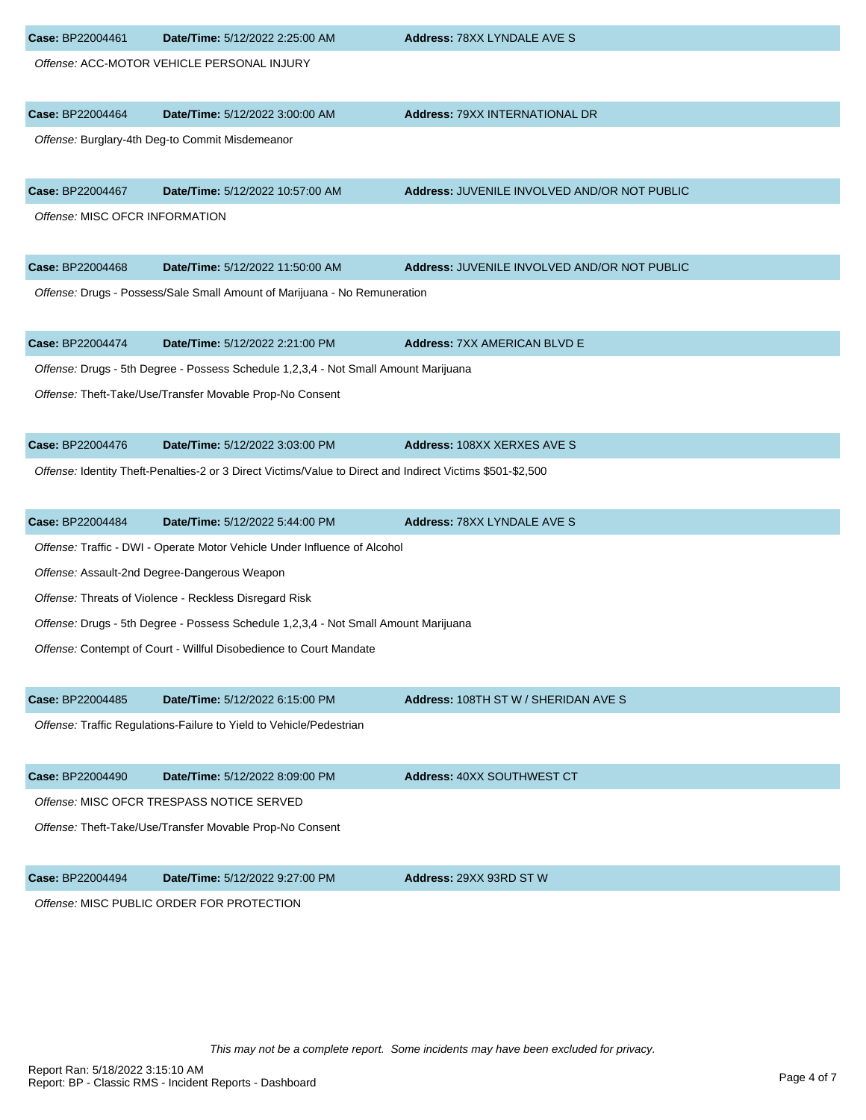| Case: BP22004461               | Date/Time: 5/12/2022 2:25:00 AM                                                                            | Address: 78XX LYNDALE AVE S                  |
|--------------------------------|------------------------------------------------------------------------------------------------------------|----------------------------------------------|
|                                | Offense: ACC-MOTOR VEHICLE PERSONAL INJURY                                                                 |                                              |
|                                |                                                                                                            |                                              |
| Case: BP22004464               | Date/Time: 5/12/2022 3:00:00 AM                                                                            | <b>Address: 79XX INTERNATIONAL DR</b>        |
|                                | Offense: Burglary-4th Deg-to Commit Misdemeanor                                                            |                                              |
|                                |                                                                                                            |                                              |
| Case: BP22004467               | Date/Time: 5/12/2022 10:57:00 AM                                                                           | Address: JUVENILE INVOLVED AND/OR NOT PUBLIC |
| Offense: MISC OFCR INFORMATION |                                                                                                            |                                              |
| Case: BP22004468               | Date/Time: 5/12/2022 11:50:00 AM                                                                           | Address: JUVENILE INVOLVED AND/OR NOT PUBLIC |
|                                | Offense: Drugs - Possess/Sale Small Amount of Marijuana - No Remuneration                                  |                                              |
|                                |                                                                                                            |                                              |
| Case: BP22004474               | Date/Time: 5/12/2022 2:21:00 PM                                                                            | <b>Address: 7XX AMERICAN BLVD E</b>          |
|                                | Offense: Drugs - 5th Degree - Possess Schedule 1,2,3,4 - Not Small Amount Marijuana                        |                                              |
|                                | Offense: Theft-Take/Use/Transfer Movable Prop-No Consent                                                   |                                              |
|                                |                                                                                                            |                                              |
| Case: BP22004476               | Date/Time: 5/12/2022 3:03:00 PM                                                                            | <b>Address: 108XX XERXES AVE S</b>           |
|                                | Offense: Identity Theft-Penalties-2 or 3 Direct Victims/Value to Direct and Indirect Victims \$501-\$2,500 |                                              |
|                                |                                                                                                            |                                              |
| Case: BP22004484               | Date/Time: 5/12/2022 5:44:00 PM                                                                            | Address: 78XX LYNDALE AVE S                  |
|                                | Offense: Traffic - DWI - Operate Motor Vehicle Under Influence of Alcohol                                  |                                              |
|                                | Offense: Assault-2nd Degree-Dangerous Weapon                                                               |                                              |
|                                | Offense: Threats of Violence - Reckless Disregard Risk                                                     |                                              |
|                                | Offense: Drugs - 5th Degree - Possess Schedule 1,2,3,4 - Not Small Amount Marijuana                        |                                              |
|                                | Offense: Contempt of Court - Willful Disobedience to Court Mandate                                         |                                              |
| Case: BP22004485               | Date/Time: 5/12/2022 6:15:00 PM                                                                            | Address: 108TH ST W / SHERIDAN AVE S         |
|                                | Offense: Traffic Regulations-Failure to Yield to Vehicle/Pedestrian                                        |                                              |
|                                |                                                                                                            |                                              |
| Case: BP22004490               | Date/Time: 5/12/2022 8:09:00 PM                                                                            | Address: 40XX SOUTHWEST CT                   |
|                                | Offense: MISC OFCR TRESPASS NOTICE SERVED                                                                  |                                              |
|                                | Offense: Theft-Take/Use/Transfer Movable Prop-No Consent                                                   |                                              |
|                                |                                                                                                            |                                              |
| Case: BP22004494               | Date/Time: 5/12/2022 9:27:00 PM                                                                            | Address: 29XX 93RD ST W                      |
|                                | Offense: MISC PUBLIC ORDER FOR PROTECTION                                                                  |                                              |
|                                |                                                                                                            |                                              |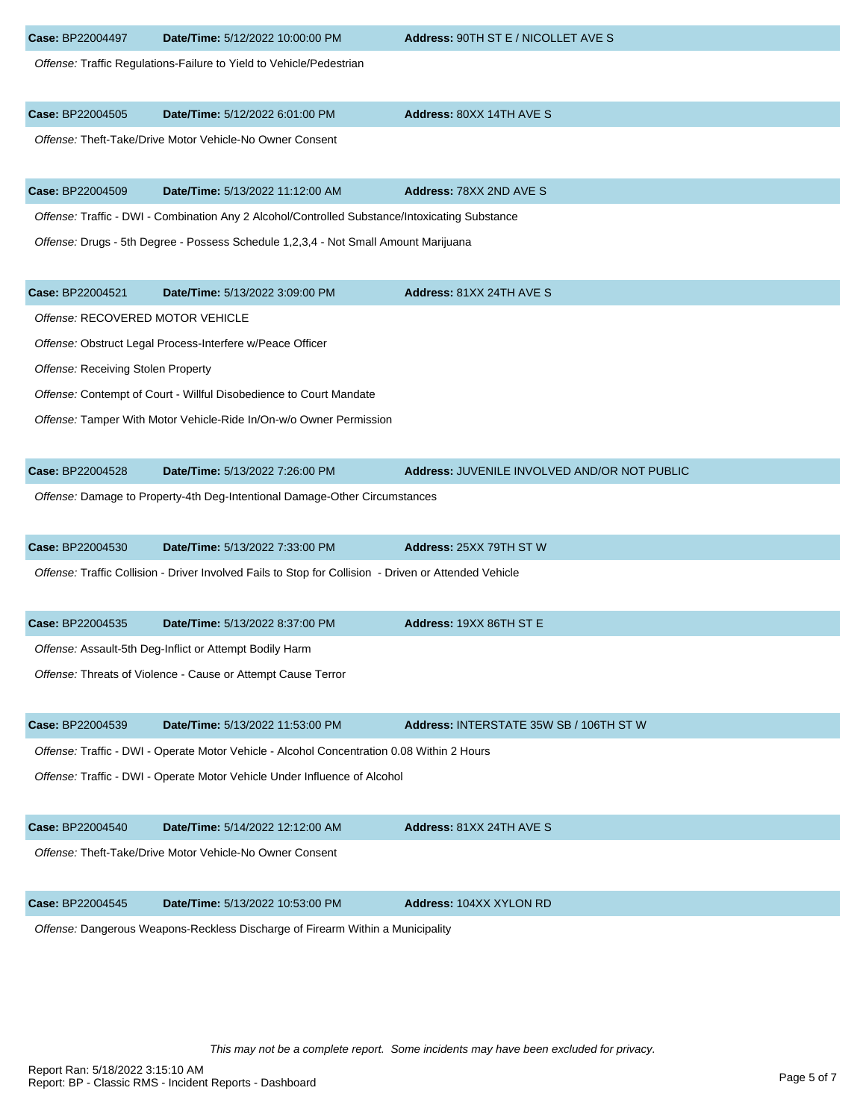| Case: BP22004497                   | Date/Time: 5/12/2022 10:00:00 PM                                                                      | Address: 90TH ST E / NICOLLET AVE S          |
|------------------------------------|-------------------------------------------------------------------------------------------------------|----------------------------------------------|
|                                    | Offense: Traffic Regulations-Failure to Yield to Vehicle/Pedestrian                                   |                                              |
| Case: BP22004505                   | Date/Time: 5/12/2022 6:01:00 PM                                                                       | Address: 80XX 14TH AVE S                     |
|                                    | Offense: Theft-Take/Drive Motor Vehicle-No Owner Consent                                              |                                              |
| Case: BP22004509                   | Date/Time: 5/13/2022 11:12:00 AM                                                                      | Address: 78XX 2ND AVE S                      |
|                                    | Offense: Traffic - DWI - Combination Any 2 Alcohol/Controlled Substance/Intoxicating Substance        |                                              |
|                                    | Offense: Drugs - 5th Degree - Possess Schedule 1,2,3,4 - Not Small Amount Marijuana                   |                                              |
| Case: BP22004521                   | Date/Time: 5/13/2022 3:09:00 PM                                                                       | Address: 81XX 24TH AVE S                     |
| Offense: RECOVERED MOTOR VEHICLE   |                                                                                                       |                                              |
|                                    | Offense: Obstruct Legal Process-Interfere w/Peace Officer                                             |                                              |
| Offense: Receiving Stolen Property |                                                                                                       |                                              |
|                                    | Offense: Contempt of Court - Willful Disobedience to Court Mandate                                    |                                              |
|                                    | Offense: Tamper With Motor Vehicle-Ride In/On-w/o Owner Permission                                    |                                              |
| Case: BP22004528                   | Date/Time: 5/13/2022 7:26:00 PM                                                                       | Address: JUVENILE INVOLVED AND/OR NOT PUBLIC |
|                                    | Offense: Damage to Property-4th Deg-Intentional Damage-Other Circumstances                            |                                              |
| Case: BP22004530                   | Date/Time: 5/13/2022 7:33:00 PM                                                                       | Address: 25XX 79TH ST W                      |
|                                    | Offense: Traffic Collision - Driver Involved Fails to Stop for Collision - Driven or Attended Vehicle |                                              |
| Case: BP22004535                   | Date/Time: 5/13/2022 8:37:00 PM                                                                       | Address: 19XX 86TH ST E                      |
|                                    | Offense: Assault-5th Deg-Inflict or Attempt Bodily Harm                                               |                                              |
|                                    | Offense: Threats of Violence - Cause or Attempt Cause Terror                                          |                                              |
| Case: BP22004539                   | Date/Time: 5/13/2022 11:53:00 PM                                                                      | Address: INTERSTATE 35W SB / 106TH ST W      |
|                                    | Offense: Traffic - DWI - Operate Motor Vehicle - Alcohol Concentration 0.08 Within 2 Hours            |                                              |
|                                    | Offense: Traffic - DWI - Operate Motor Vehicle Under Influence of Alcohol                             |                                              |
| Case: BP22004540                   | Date/Time: 5/14/2022 12:12:00 AM                                                                      | Address: 81XX 24TH AVE S                     |
|                                    | Offense: Theft-Take/Drive Motor Vehicle-No Owner Consent                                              |                                              |
| Case: BP22004545                   | Date/Time: 5/13/2022 10:53:00 PM                                                                      | <b>Address: 104XX XYLON RD</b>               |
|                                    | Offense: Dangerous Weapons-Reckless Discharge of Firearm Within a Municipality                        |                                              |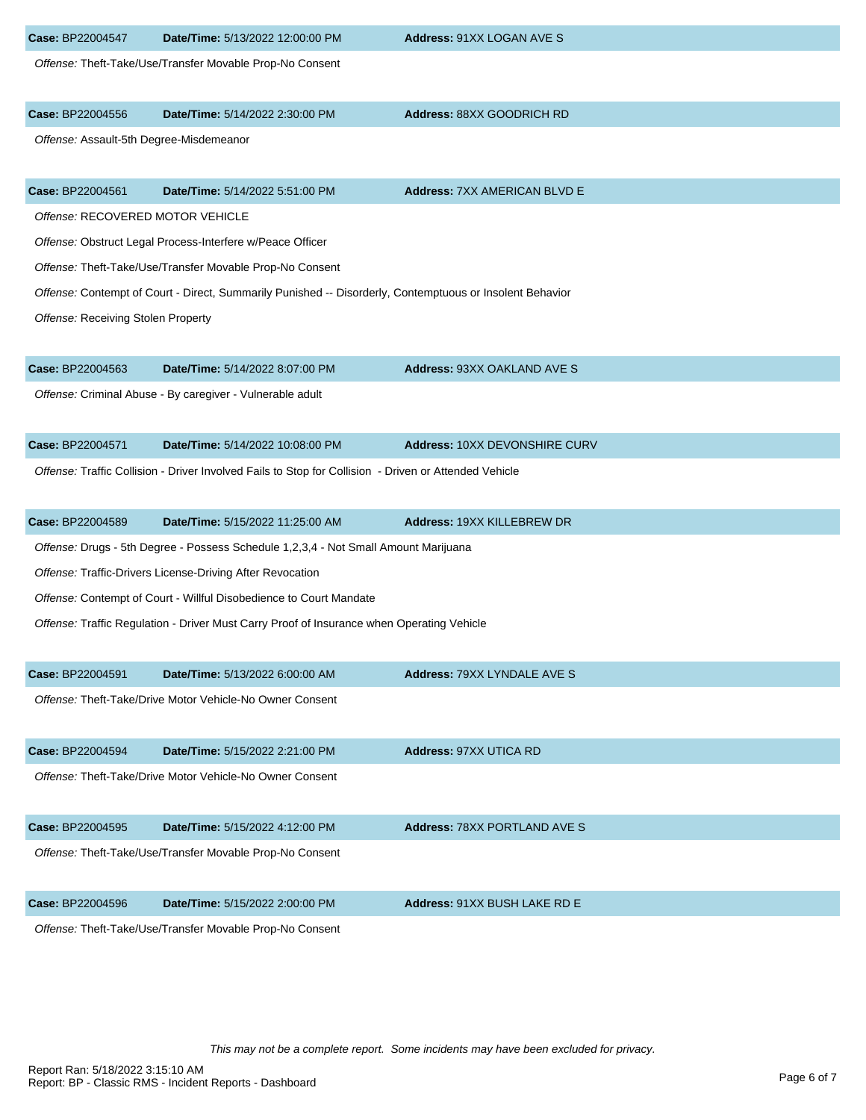| Case: BP22004547                        | Date/Time: 5/13/2022 12:00:00 PM                                                                         | Address: 91XX LOGAN AVE S           |
|-----------------------------------------|----------------------------------------------------------------------------------------------------------|-------------------------------------|
|                                         | Offense: Theft-Take/Use/Transfer Movable Prop-No Consent                                                 |                                     |
| Case: BP22004556                        | Date/Time: 5/14/2022 2:30:00 PM                                                                          | Address: 88XX GOODRICH RD           |
| Offense: Assault-5th Degree-Misdemeanor |                                                                                                          |                                     |
| Case: BP22004561                        | Date/Time: 5/14/2022 5:51:00 PM                                                                          | <b>Address: 7XX AMERICAN BLVD E</b> |
| Offense: RECOVERED MOTOR VEHICLE        |                                                                                                          |                                     |
|                                         | Offense: Obstruct Legal Process-Interfere w/Peace Officer                                                |                                     |
|                                         | Offense: Theft-Take/Use/Transfer Movable Prop-No Consent                                                 |                                     |
|                                         | Offense: Contempt of Court - Direct, Summarily Punished -- Disorderly, Contemptuous or Insolent Behavior |                                     |
| Offense: Receiving Stolen Property      |                                                                                                          |                                     |
| Case: BP22004563                        | Date/Time: 5/14/2022 8:07:00 PM                                                                          | <b>Address: 93XX OAKLAND AVE S</b>  |
|                                         | Offense: Criminal Abuse - By caregiver - Vulnerable adult                                                |                                     |
| Case: BP22004571                        | Date/Time: 5/14/2022 10:08:00 PM                                                                         | Address: 10XX DEVONSHIRE CURV       |
|                                         | Offense: Traffic Collision - Driver Involved Fails to Stop for Collision - Driven or Attended Vehicle    |                                     |
| Case: BP22004589                        | Date/Time: 5/15/2022 11:25:00 AM                                                                         | Address: 19XX KILLEBREW DR          |
|                                         | Offense: Drugs - 5th Degree - Possess Schedule 1,2,3,4 - Not Small Amount Marijuana                      |                                     |
|                                         | Offense: Traffic-Drivers License-Driving After Revocation                                                |                                     |
|                                         | Offense: Contempt of Court - Willful Disobedience to Court Mandate                                       |                                     |
|                                         | Offense: Traffic Regulation - Driver Must Carry Proof of Insurance when Operating Vehicle                |                                     |
| Case: BP22004591                        | Date/Time: 5/13/2022 6:00:00 AM                                                                          | <b>Address: 79XX LYNDALE AVE S</b>  |
|                                         | Offense: Theft-Take/Drive Motor Vehicle-No Owner Consent                                                 |                                     |
|                                         |                                                                                                          |                                     |
| Case: BP22004594                        | Date/Time: 5/15/2022 2:21:00 PM                                                                          | <b>Address: 97XX UTICA RD</b>       |
|                                         | Offense: Theft-Take/Drive Motor Vehicle-No Owner Consent                                                 |                                     |
| Case: BP22004595                        | Date/Time: 5/15/2022 4:12:00 PM                                                                          | <b>Address: 78XX PORTLAND AVE S</b> |
|                                         | Offense: Theft-Take/Use/Transfer Movable Prop-No Consent                                                 |                                     |
| Case: BP22004596                        | Date/Time: 5/15/2022 2:00:00 PM                                                                          | Address: 91XX BUSH LAKE RD E        |